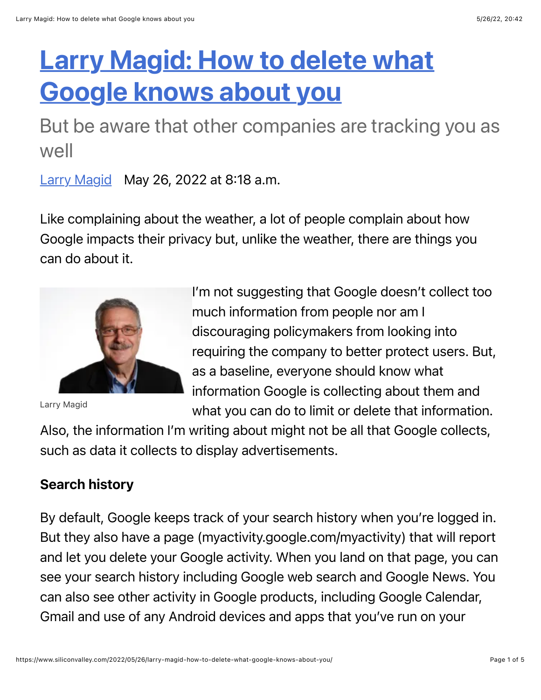# **[Larry Magid: How to delete what](https://www.siliconvalley.com/business/)** Google knows about you

But be aware that other companies are tracking you as well

[Larry Magid](https://www.siliconvalley.com/author/larry-magid/) May 26, 2022 at 8:18 a.m.

Like complaining about the weather, a lot of people complain about how Google impacts their privacy but, unlike the weather, there are things you can do about it.



Larry Magid

I'm not suggesting that Google doesn't collect too much information from people nor am I discouraging policymakers from looking into requiring the company to better protect users. But, as a baseline, everyone should know what information Google is collecting about them and what you can do to limit or delete that information.

Also, the information I'm writing about might not be all that Google collects, such as data it collects to display advertisements.

# Search history

By default, Google keeps track of your search history when you're logged in. But they also have a page (myactivity.google.com/myactivity) that will report and let you delete your Google activity. When you land on that page, you can see your search history including Google web search and Google News. You can also see other activity in Google products, including Google Calendar, Gmail and use of any Android devices and apps that you've run on your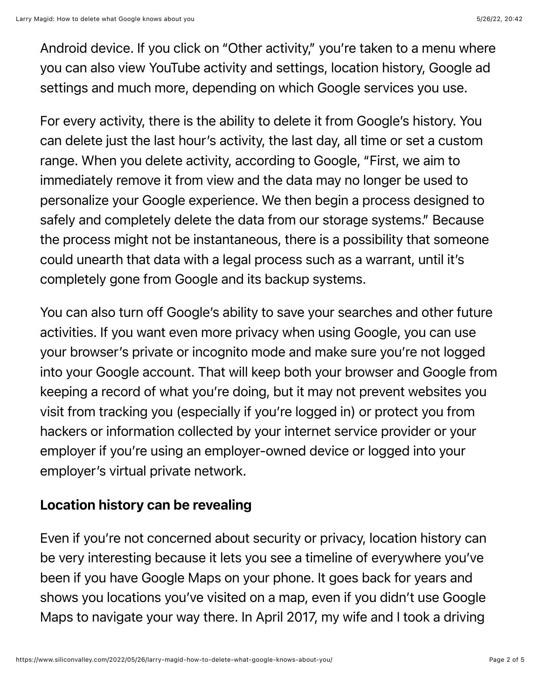Android device. If you click on "Other activity," you're taken to a menu where you can also view YouTube activity and settings, location history, Google ad settings and much more, depending on which Google services you use.

For every activity, there is the ability to delete it from Google's history. You can delete just the last hour's activity, the last day, all time or set a custom range. When you delete activity, according to Google, "First, we aim to immediately remove it from view and the data may no longer be used to personalize your Google experience. We then begin a process designed to safely and completely delete the data from our storage systems." Because the process might not be instantaneous, there is a possibility that someone could unearth that data with a legal process such as a warrant, until it's completely gone from Google and its backup systems.

You can also turn off Google's ability to save your searches and other future activities. If you want even more privacy when using Google, you can use your browser's private or incognito mode and make sure you're not logged into your Google account. That will keep both your browser and Google from keeping a record of what you're doing, but it may not prevent websites you visit from tracking you (especially if you're logged in) or protect you from hackers or information collected by your internet service provider or your employer if you're using an employer-owned device or logged into your employer's virtual private network.

## Location history can be revealing

Even if you're not concerned about security or privacy, location history can be very interesting because it lets you see a timeline of everywhere you've been if you have Google Maps on your phone. It goes back for years and shows you locations you've visited on a map, even if you didn't use Google Maps to navigate your way there. In April 2017, my wife and I took a driving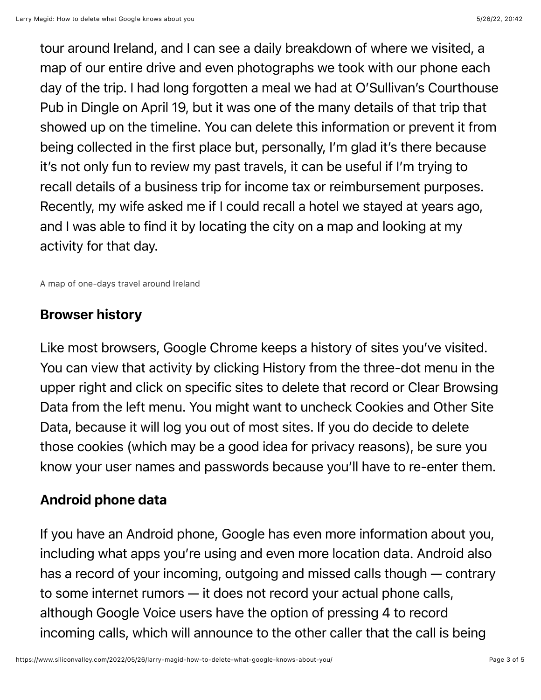tour around Ireland, and I can see a daily breakdown of where we visited, a map of our entire drive and even photographs we took with our phone each day of the trip. I had long forgotten a meal we had at O'Sullivan's Courthouse Pub in Dingle on April 19, but it was one of the many details of that trip that showed up on the timeline. You can delete this information or prevent it from being collected in the first place but, personally, I'm glad it's there because it's not only fun to review my past travels, it can be useful if I'm trying to recall details of a business trip for income tax or reimbursement purposes. Recently, my wife asked me if I could recall a hotel we stayed at years ago, and I was able to find it by locating the city on a map and looking at my activity for that day.

A map of one-days travel around Ireland

#### Browser history

Like most browsers, Google Chrome keeps a history of sites you've visited. You can view that activity by clicking History from the three-dot menu in the upper right and click on specific sites to delete that record or Clear Browsing Data from the left menu. You might want to uncheck Cookies and Other Site Data, because it will log you out of most sites. If you do decide to delete those cookies (which may be a good idea for privacy reasons), be sure you know your user names and passwords because you'll have to re-enter them.

### Android phone data

If you have an Android phone, Google has even more information about you, including what apps you're using and even more location data. Android also has a record of your incoming, outgoing and missed calls though — contrary to some internet rumors — it does not record your actual phone calls, although Google Voice users have the option of pressing 4 to record incoming calls, which will announce to the other caller that the call is being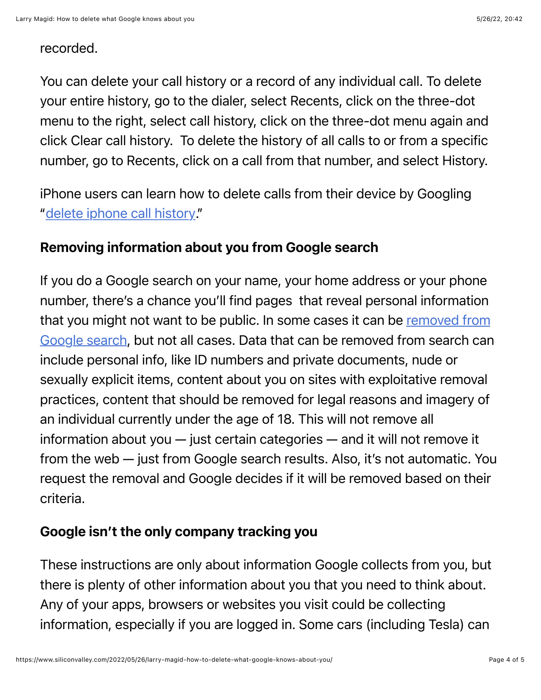#### recorded.

You can delete your call history or a record of any individual call. To delete your entire history, go to the dialer, select Recents, click on the three-dot menu to the right, select call history, click on the three-dot menu again and click Clear call history. To delete the history of all calls to or from a specific number, go to Recents, click on a call from that number, and select History.

iPhone users can learn how to delete calls from their device by Googling ["delete iphone call history](https://support.apple.com/en-us/HT207729)."

## Removing information about you from Google search

If you do a Google search on your name, your home address or your phone number, there's a chance you'll find pages that reveal personal information [that you might not want to be public. In some cases it can be removed from](https://support.google.com/websearch/troubleshooter/3111061?hl=en) Google search, but not all cases. Data that can be removed from search can include personal info, like ID numbers and private documents, nude or sexually explicit items, content about you on sites with exploitative removal practices, content that should be removed for legal reasons and imagery of an individual currently under the age of 18. This will not remove all information about you — just certain categories — and it will not remove it from the web — just from Google search results. Also, it's not automatic. You request the removal and Google decides if it will be removed based on their criteria.

## Google isn't the only company tracking you

These instructions are only about information Google collects from you, but there is plenty of other information about you that you need to think about. Any of your apps, browsers or websites you visit could be collecting information, especially if you are logged in. Some cars (including Tesla) can